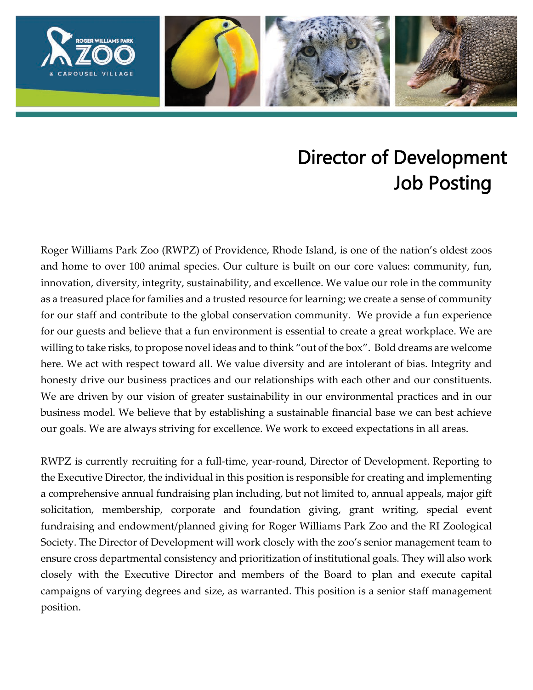

# Director of Development Job Posting

Roger Williams Park Zoo (RWPZ) of Providence, Rhode Island, is one of the nation's oldest zoos and home to over 100 animal species. Our culture is built on our core values: community, fun, innovation, diversity, integrity, sustainability, and excellence. We value our role in the community as a treasured place for families and a trusted resource for learning; we create a sense of community for our staff and contribute to the global conservation community. We provide a fun experience for our guests and believe that a fun environment is essential to create a great workplace. We are willing to take risks, to propose novel ideas and to think "out of the box". Bold dreams are welcome here. We act with respect toward all. We value diversity and are intolerant of bias. Integrity and honesty drive our business practices and our relationships with each other and our constituents. We are driven by our vision of greater sustainability in our environmental practices and in our business model. We believe that by establishing a sustainable financial base we can best achieve our goals. We are always striving for excellence. We work to exceed expectations in all areas.

RWPZ is currently recruiting for a full-time, year-round, Director of Development. Reporting to the Executive Director, the individual in this position is responsible for creating and implementing a comprehensive annual fundraising plan including, but not limited to, annual appeals, major gift solicitation, membership, corporate and foundation giving, grant writing, special event fundraising and endowment/planned giving for Roger Williams Park Zoo and the RI Zoological Society. The Director of Development will work closely with the zoo's senior management team to ensure cross departmental consistency and prioritization of institutional goals. They will also work closely with the Executive Director and members of the Board to plan and execute capital campaigns of varying degrees and size, as warranted. This position is a senior staff management position.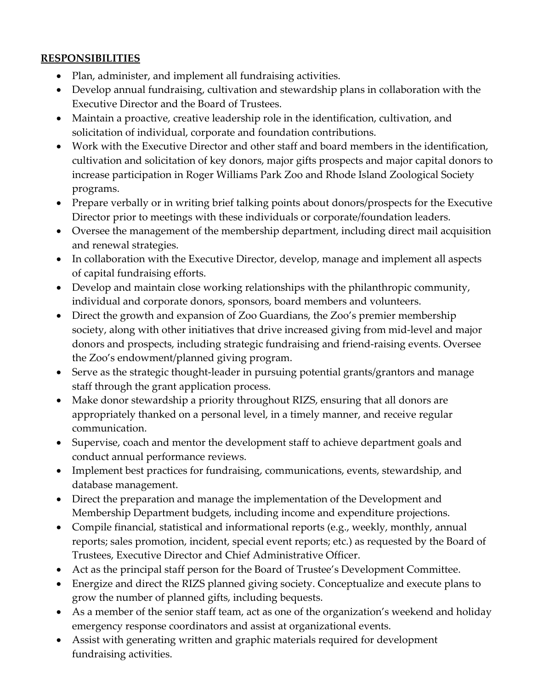### **RESPONSIBILITIES**

- Plan, administer, and implement all fundraising activities.
- Develop annual fundraising, cultivation and stewardship plans in collaboration with the Executive Director and the Board of Trustees.
- Maintain a proactive, creative leadership role in the identification, cultivation, and solicitation of individual, corporate and foundation contributions.
- Work with the Executive Director and other staff and board members in the identification, cultivation and solicitation of key donors, major gifts prospects and major capital donors to increase participation in Roger Williams Park Zoo and Rhode Island Zoological Society programs.
- Prepare verbally or in writing brief talking points about donors/prospects for the Executive Director prior to meetings with these individuals or corporate/foundation leaders.
- Oversee the management of the membership department, including direct mail acquisition and renewal strategies.
- In collaboration with the Executive Director, develop, manage and implement all aspects of capital fundraising efforts.
- Develop and maintain close working relationships with the philanthropic community, individual and corporate donors, sponsors, board members and volunteers.
- Direct the growth and expansion of Zoo Guardians, the Zoo's premier membership society, along with other initiatives that drive increased giving from mid-level and major donors and prospects, including strategic fundraising and friend-raising events. Oversee the Zoo's endowment/planned giving program.
- Serve as the strategic thought-leader in pursuing potential grants/grantors and manage staff through the grant application process.
- Make donor stewardship a priority throughout RIZS, ensuring that all donors are appropriately thanked on a personal level, in a timely manner, and receive regular communication.
- Supervise, coach and mentor the development staff to achieve department goals and conduct annual performance reviews.
- Implement best practices for fundraising, communications, events, stewardship, and database management.
- Direct the preparation and manage the implementation of the Development and Membership Department budgets, including income and expenditure projections.
- Compile financial, statistical and informational reports (e.g., weekly, monthly, annual reports; sales promotion, incident, special event reports; etc.) as requested by the Board of Trustees, Executive Director and Chief Administrative Officer.
- Act as the principal staff person for the Board of Trustee's Development Committee.
- Energize and direct the RIZS planned giving society. Conceptualize and execute plans to grow the number of planned gifts, including bequests.
- As a member of the senior staff team, act as one of the organization's weekend and holiday emergency response coordinators and assist at organizational events.
- Assist with generating written and graphic materials required for development fundraising activities.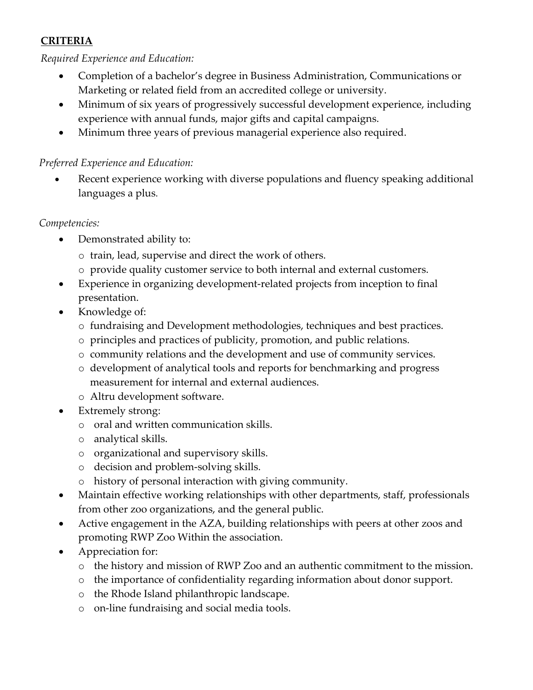## **CRITERIA**

#### *Required Experience and Education:*

- Completion of a bachelor's degree in Business Administration, Communications or Marketing or related field from an accredited college or university.
- Minimum of six years of progressively successful development experience, including experience with annual funds, major gifts and capital campaigns.
- Minimum three years of previous managerial experience also required.

### *Preferred Experience and Education:*

Recent experience working with diverse populations and fluency speaking additional languages a plus.

#### *Competencies:*

- Demonstrated ability to:
	- o train, lead, supervise and direct the work of others.
	- o provide quality customer service to both internal and external customers.
- Experience in organizing development-related projects from inception to final presentation.
- Knowledge of:
	- o fundraising and Development methodologies, techniques and best practices.
	- o principles and practices of publicity, promotion, and public relations.
	- o community relations and the development and use of community services.
	- o development of analytical tools and reports for benchmarking and progress measurement for internal and external audiences.
	- o Altru development software.
- Extremely strong:
	- o oral and written communication skills.
	- o analytical skills.
	- o organizational and supervisory skills.
	- o decision and problem-solving skills.
	- o history of personal interaction with giving community.
- Maintain effective working relationships with other departments, staff, professionals from other zoo organizations, and the general public.
- Active engagement in the AZA, building relationships with peers at other zoos and promoting RWP Zoo Within the association.
- Appreciation for:
	- o the history and mission of RWP Zoo and an authentic commitment to the mission.
	- o the importance of confidentiality regarding information about donor support.
	- o the Rhode Island philanthropic landscape.
	- o on-line fundraising and social media tools.